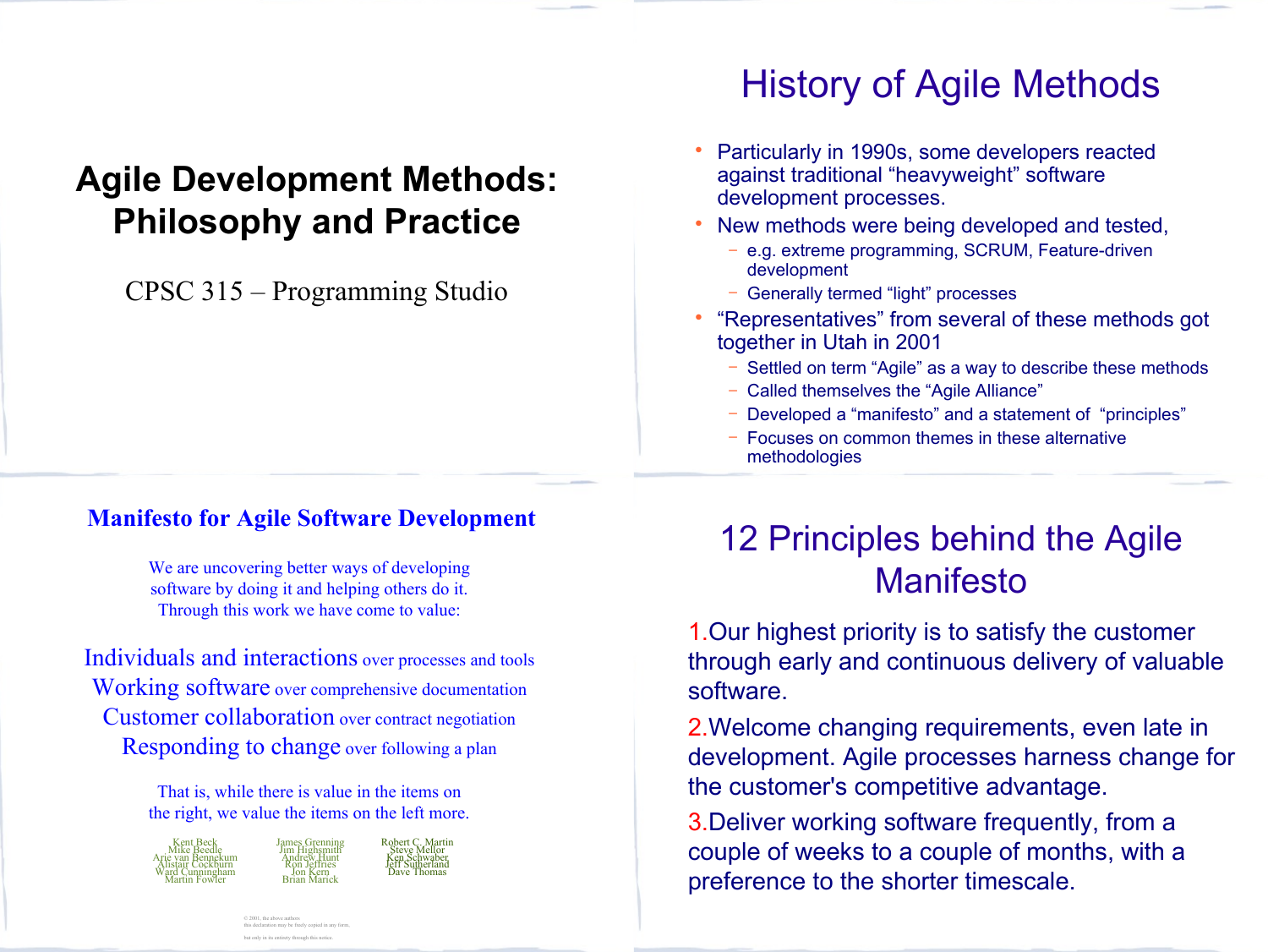## **Agile Development Methods: Philosophy and Practice**

CPSC 315 – Programming Studio

### **Manifesto for Agile Software Development**

We are uncovering better ways of developing software by doing it and helping others do it. Through this work we have come to value:

Individuals and interactions over processes and tools Working software over comprehensive documentation Customer collaboration over contract negotiation Responding to change over following a plan

> That is, while there is value in the items on the right, we value the items on the left more.

> > James Grenning Jim Highsmith Andrew Hunt Ron Jeffries Jon Kern Brian Marick





Jeff Sutherland Dave Thomas

### History of Agile Methods

- Particularly in 1990s, some developers reacted against traditional "heavyweight" software development processes.
- New methods were being developed and tested,
	- e.g. extreme programming, SCRUM, Feature-driven development
	- − Generally termed "light" processes
- "Representatives" from several of these methods got together in Utah in 2001
	- Settled on term "Agile" as a way to describe these methods
	- − Called themselves the "Agile Alliance"
	- − Developed a "manifesto" and a statement of "principles"
	- Focuses on common themes in these alternative methodologies

## 12 Principles behind the Agile Manifesto

1.Our highest priority is to satisfy the customer through early and continuous delivery of valuable software.

2.Welcome changing requirements, even late in development. Agile processes harness change for the customer's competitive advantage.

3.Deliver working software frequently, from a couple of weeks to a couple of months, with a preference to the shorter timescale.

© 2001, the above authors this declaration may be freely copied in any form, but only in its entirety through this notice.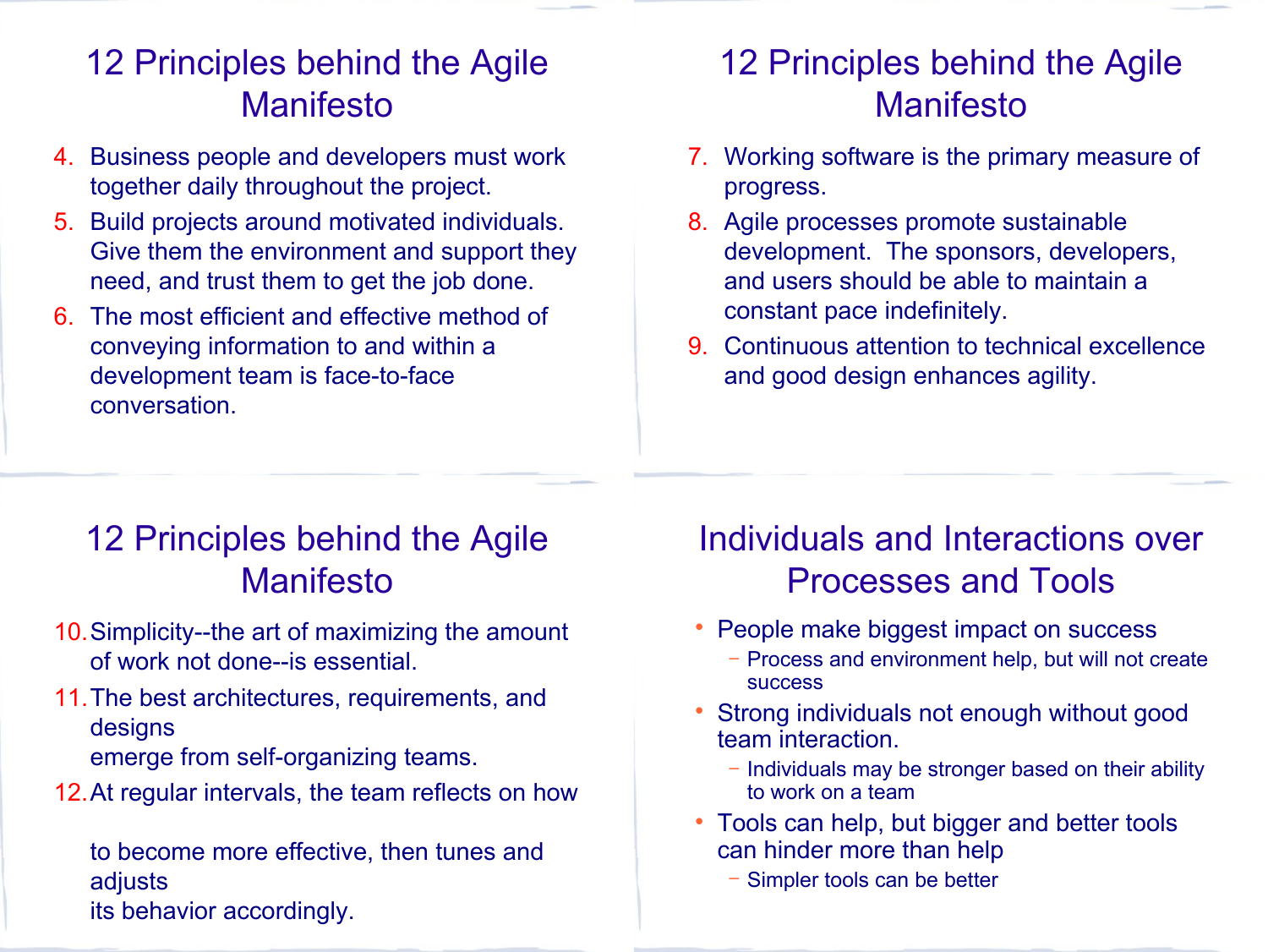## 12 Principles behind the Agile Manifesto

- 4. Business people and developers must work together daily throughout the project.
- 5. Build projects around motivated individuals. Give them the environment and support they need, and trust them to get the job done.
- 6. The most efficient and effective method of conveying information to and within a development team is face-to-face conversation.

## 12 Principles behind the Agile Manifesto

- 7. Working software is the primary measure of progress.
- 8. Agile processes promote sustainable development. The sponsors, developers, and users should be able to maintain a constant pace indefinitely.
- 9. Continuous attention to technical excellence and good design enhances agility.

## 12 Principles behind the Agile Manifesto

- 10.Simplicity--the art of maximizing the amount of work not done--is essential.
- 11.The best architectures, requirements, and designs emerge from self-organizing teams.
- 12.At regular intervals, the team reflects on how

to become more effective, then tunes and adjusts its behavior accordingly.

## Individuals and Interactions over Processes and Tools

- People make biggest impact on success
	- − Process and environment help, but will not create success
- Strong individuals not enough without good team interaction.
	- − Individuals may be stronger based on their ability to work on a team
- Tools can help, but bigger and better tools can hinder more than help
	- Simpler tools can be better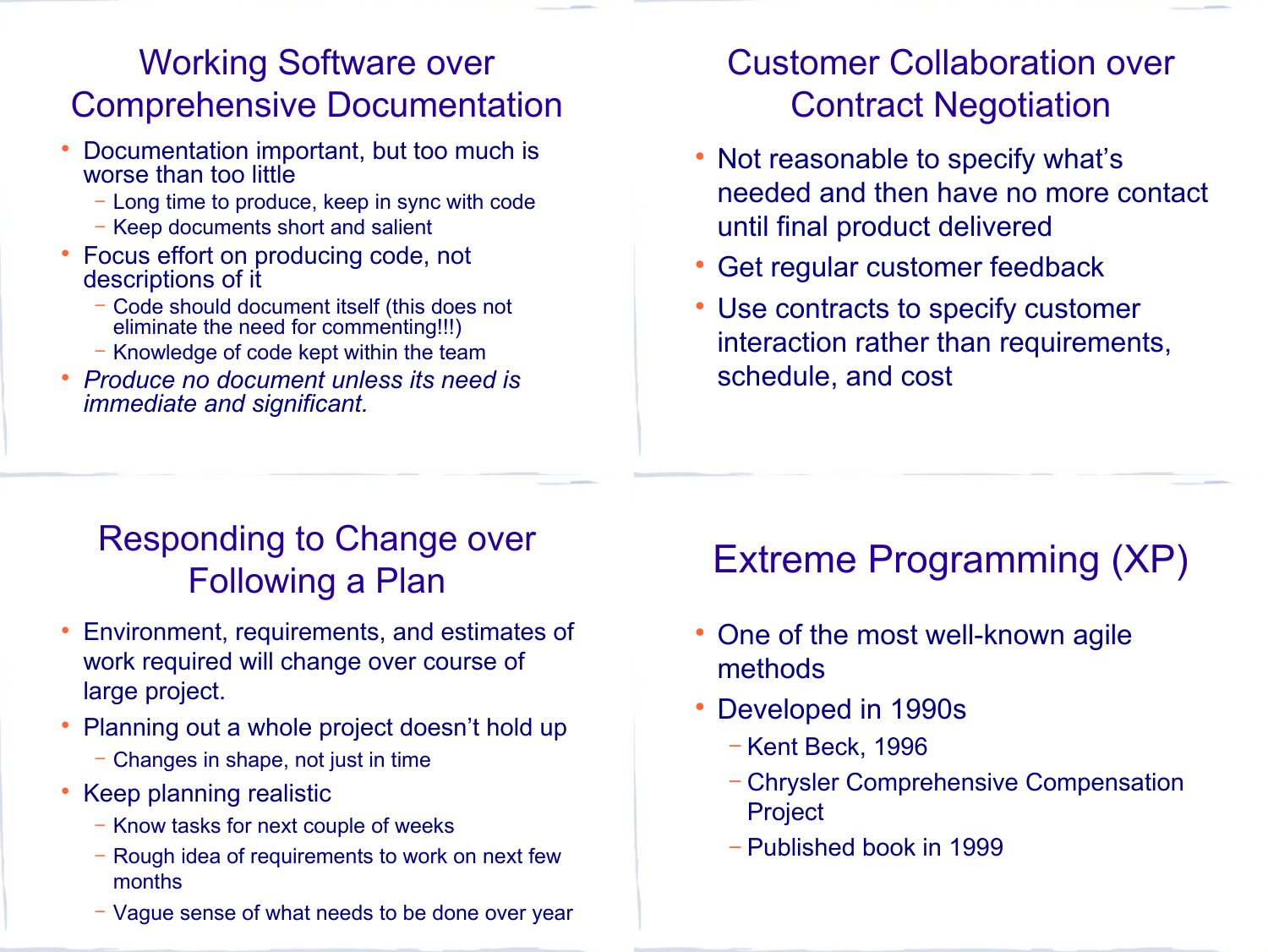### Working Software over Comprehensive Documentation

- Documentation important, but too much is worse than too little
	- − Long time to produce, keep in sync with code
	- − Keep documents short and salient
- Focus effort on producing code, not descriptions of it
	- − Code should document itself (this does not eliminate the need for commenting!!!)
	- − Knowledge of code kept within the team
- *Produce no document unless its need is immediate and significant.*

## Customer Collaboration over Contract Negotiation

- Not reasonable to specify what's needed and then have no more contact until final product delivered
- Get regular customer feedback
- Use contracts to specify customer interaction rather than requirements, schedule, and cost

## Responding to Change over Following a Plan

- Environment, requirements, and estimates of work required will change over course of large project.
- Planning out a whole project doesn't hold up
	- − Changes in shape, not just in time
- Keep planning realistic
	- − Know tasks for next couple of weeks
	- − Rough idea of requirements to work on next few months
	- Vaque sense of what needs to be done over year

# Extreme Programming (XP)

- One of the most well-known agile methods
- Developed in 1990s
	- − Kent Beck, 1996
	- − Chrysler Comprehensive Compensation **Project**
	- − Published book in 1999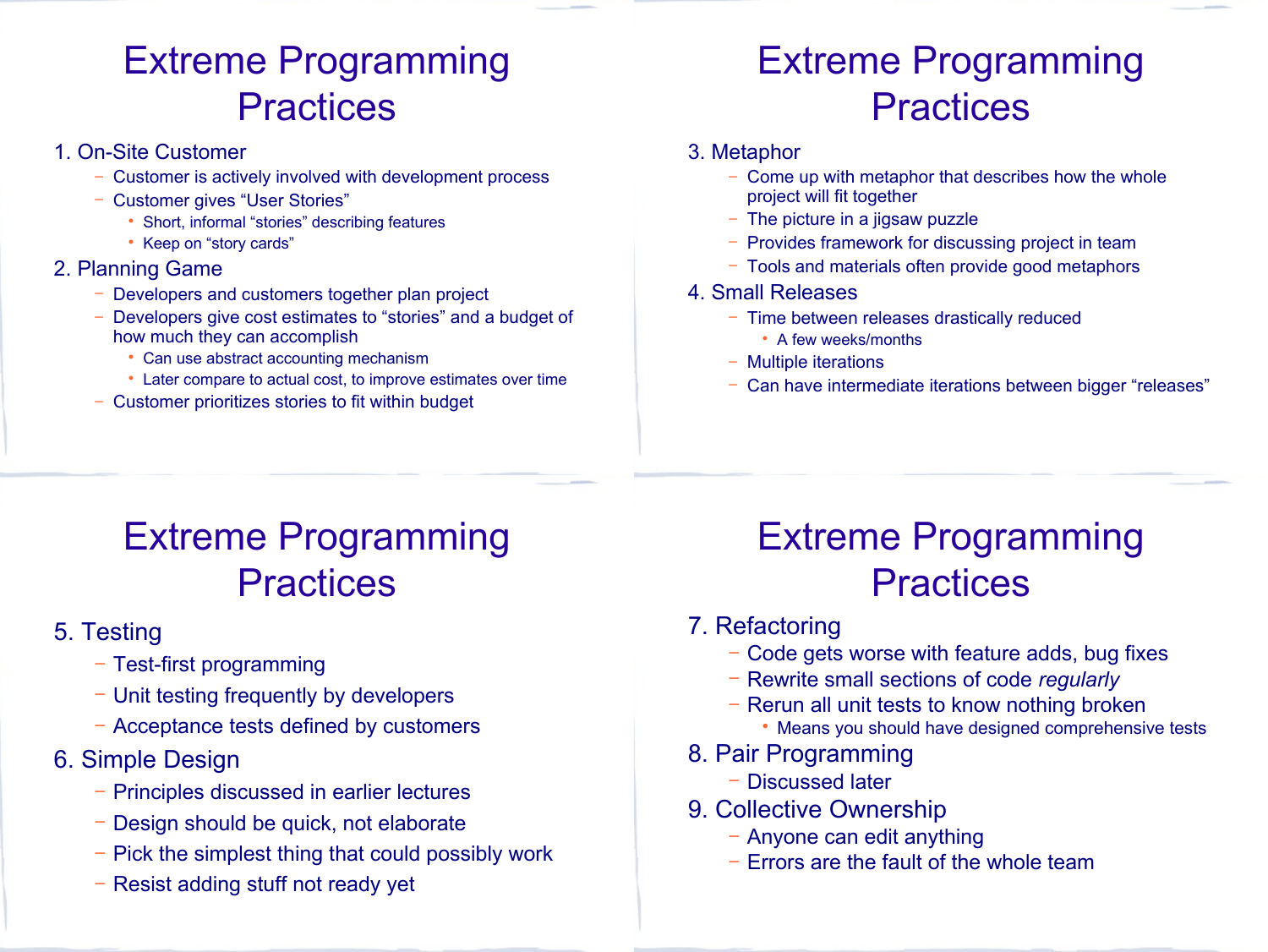# Extreme Programming **Practices**

- 1. On-Site Customer
	- Customer is actively involved with development process
	- − Customer gives "User Stories"
		- Short, informal "stories" describing features
		- Keep on "story cards"

#### 2. Planning Game

- − Developers and customers together plan project
- Developers give cost estimates to "stories" and a budget of how much they can accomplish
	- Can use abstract accounting mechanism
	- Later compare to actual cost, to improve estimates over time
- − Customer prioritizes stories to fit within budget

# Extreme Programming **Practices**

### 3. Metaphor

- − Come up with metaphor that describes how the whole project will fit together
- − The picture in a jigsaw puzzle
- − Provides framework for discussing project in team
- − Tools and materials often provide good metaphors

### 4. Small Releases

- − Time between releases drastically reduced A few weeks/months
- − Multiple iterations
- − Can have intermediate iterations between bigger "releases"

# Extreme Programming **Practices**

### 5. Testing

- − Test-first programming
- − Unit testing frequently by developers
- − Acceptance tests defined by customers

### 6. Simple Design

- − Principles discussed in earlier lectures
- Design should be quick, not elaborate
- Pick the simplest thing that could possibly work
- Resist adding stuff not ready yet

# Extreme Programming **Practices**

- 7. Refactoring
	- − Code gets worse with feature adds, bug fixes
	- − Rewrite small sections of code *regularly*
	- − Rerun all unit tests to know nothing broken
		- Means you should have designed comprehensive tests
- 8. Pair Programming
	- − Discussed later
- 9. Collective Ownership
	- − Anyone can edit anything
	- − Errors are the fault of the whole team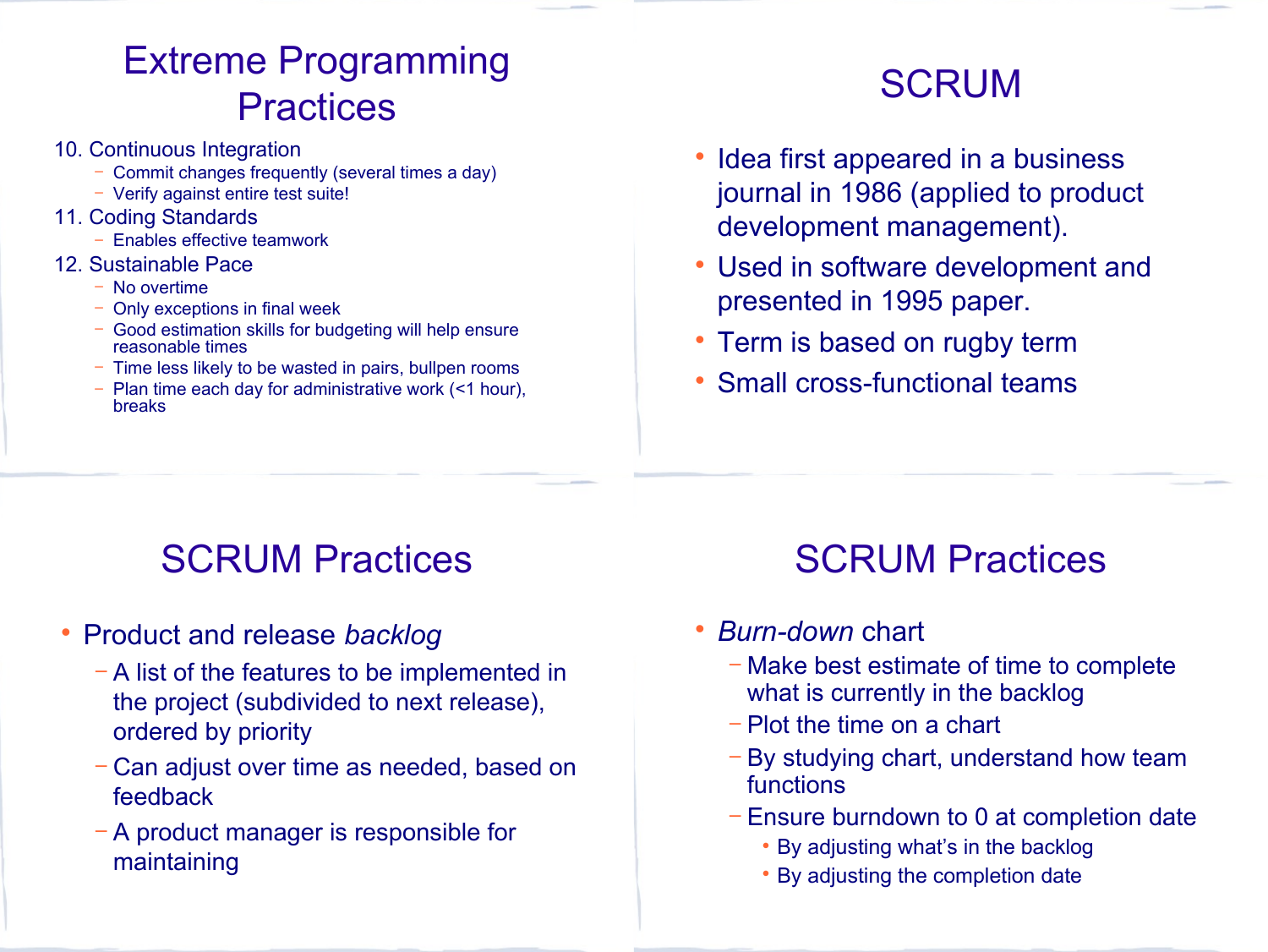# Extreme Programming **Practices**

- 10. Continuous Integration
	- − Commit changes frequently (several times a day)
	- − Verify against entire test suite!

### 11. Coding Standards

- − Enables effective teamwork
- 12. Sustainable Pace
	- − No overtime
	- − Only exceptions in final week
	- − Good estimation skills for budgeting will help ensure reasonable times
	- Time less likely to be wasted in pairs, bullpen rooms
	- − Plan time each day for administrative work (<1 hour), breaks

# **SCRUM**

- Idea first appeared in a business journal in 1986 (applied to product development management).
- Used in software development and presented in 1995 paper.
- Term is based on rugby term
- Small cross-functional teams

# SCRUM Practices

- Product and release *backlog*
	- − A list of the features to be implemented in the project (subdivided to next release), ordered by priority
	- − Can adjust over time as needed, based on feedback
	- − A product manager is responsible for maintaining

# SCRUM Practices

- *Burn-down* chart
	- − Make best estimate of time to complete what is currently in the backlog
	- − Plot the time on a chart
	- − By studying chart, understand how team functions
	- − Ensure burndown to 0 at completion date
		- By adjusting what's in the backlog
		- By adjusting the completion date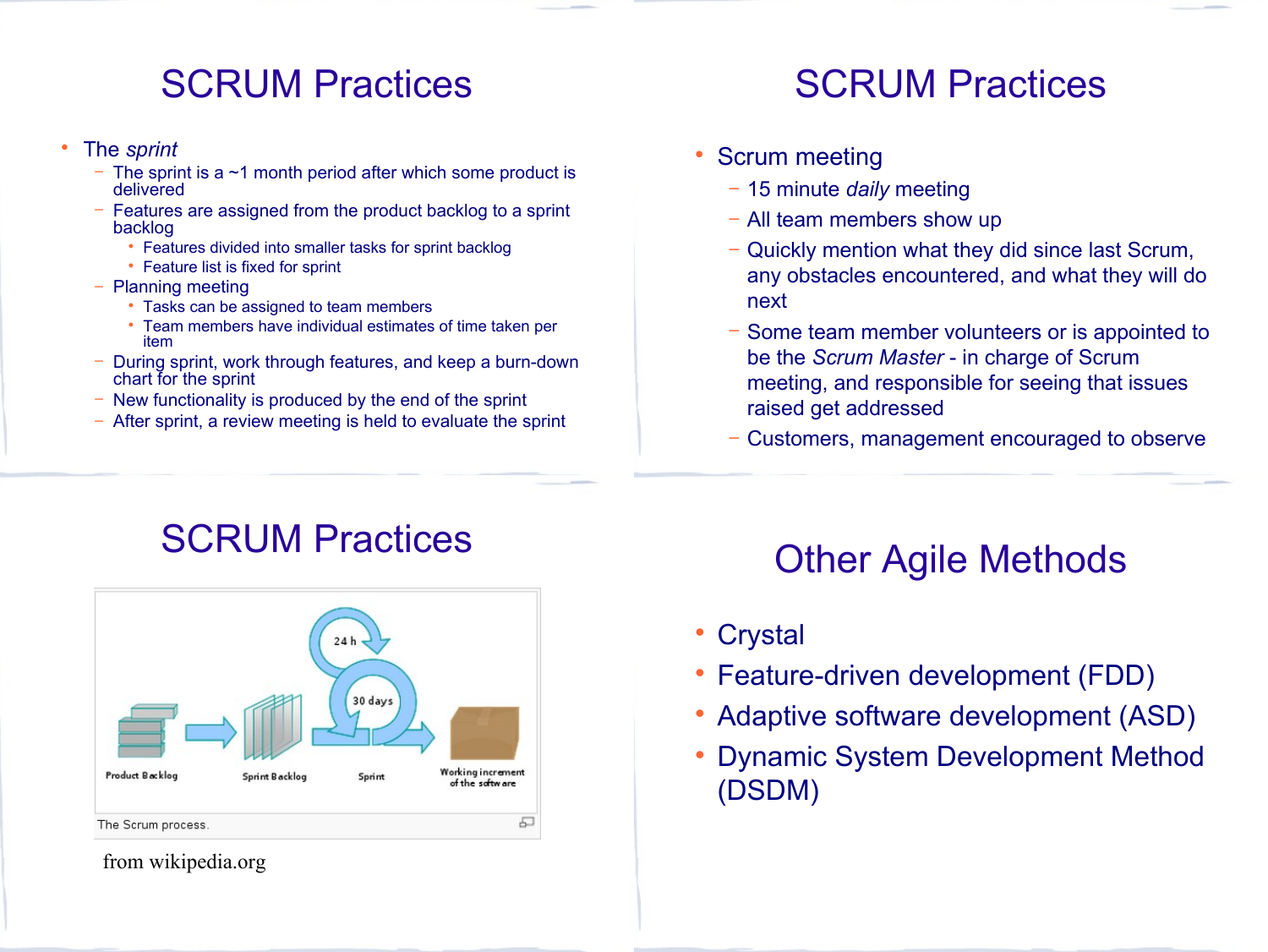## SCRUM Practices

- The *sprint*
	- The sprint is a  $~1$  month period after which some product is delivered
	- Features are assigned from the product backlog to a sprint backlog
		- Features divided into smaller tasks for sprint backlog
		- Feature list is fixed for sprint
	- − Planning meeting
		- Tasks can be assigned to team members
		- Team members have individual estimates of time taken per item
	- − During sprint, work through features, and keep a burn-down chart for the sprint
	- New functionality is produced by the end of the sprint
	- After sprint, a review meeting is held to evaluate the sprint

## SCRUM Practices

- Scrum meeting
	- − 15 minute *daily* meeting
	- − All team members show up
	- Quickly mention what they did since last Scrum, any obstacles encountered, and what they will do next
	- Some team member volunteers or is appointed to be the *Scrum Master* - in charge of Scrum meeting, and responsible for seeing that issues raised get addressed
	- − Customers, management encouraged to observe

# SCRUM Practices



from wikipedia.org

# Other Agile Methods

- Crystal
- Feature-driven development (FDD)
- Adaptive software development (ASD)
- Dynamic System Development Method (DSDM)